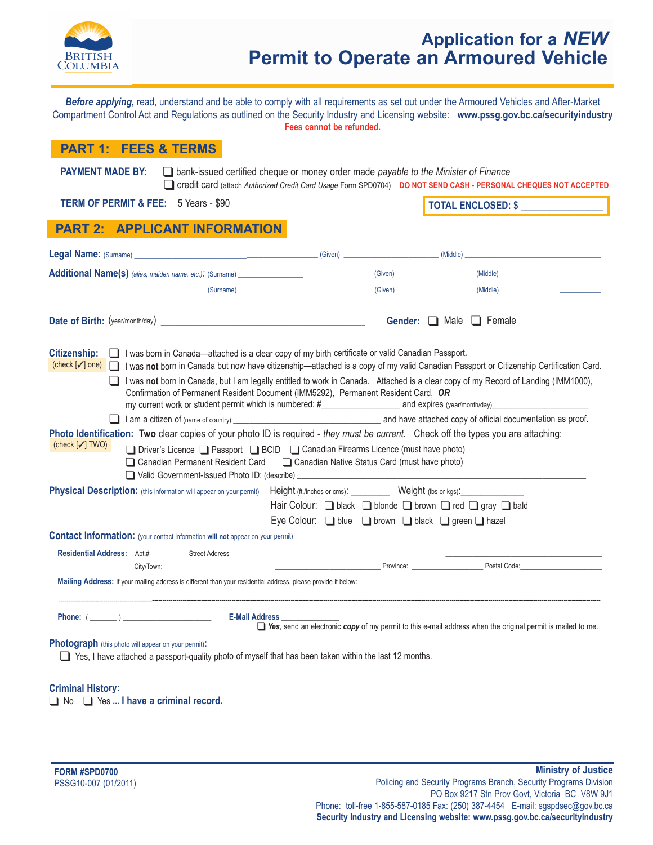

# **Application for a** *NEW*  **Permit to Operate an Armoured Vehicle**

*Before applying,* read, understand and be able to comply with all requirements as set out under the Armoured Vehicles and After-Market Compartment Control Act and Regulations as outlined on the Security Industry and Licensing website: **<www.pssg.gov.bc.ca/securityindustry> Fees cannot be refunded.** 

### **PART 1:  FEES & TERMS**

**PAYMENT MADE BY:** a bank-issued certified cheque or money order made *payable to the Minister of Finance* Credit card (attach Authorized Credit Card Usage Form SPD0704) **DONOT SEND CASH - PERSONAL CHEQUES NOT ACCEPTED** 

**TERM OF PERMIT & FEE:** 5 Years - \$90 **TOTAL ENCLOSED: \$** 

## **PART 2: APPLICANT INFORMATION**

| Legal Name: (Surname) entertainment and the contract of the contract of the contract of the contract of the contract of the contract of the contract of the contract of the contract of the contract of the contract of the co                                                                                                                                                                                        |                                                                                                                                                                                                                                      |                                                                                                                                    |
|-----------------------------------------------------------------------------------------------------------------------------------------------------------------------------------------------------------------------------------------------------------------------------------------------------------------------------------------------------------------------------------------------------------------------|--------------------------------------------------------------------------------------------------------------------------------------------------------------------------------------------------------------------------------------|------------------------------------------------------------------------------------------------------------------------------------|
|                                                                                                                                                                                                                                                                                                                                                                                                                       |                                                                                                                                                                                                                                      |                                                                                                                                    |
|                                                                                                                                                                                                                                                                                                                                                                                                                       | (Surname) <u>and the contract of the contract of the contract of the contract of the contract of the contract of the contract of the contract of the contract of the contract of the contract of the contract of the contract of</u> | (Given) (Middle)                                                                                                                   |
| Date of Birth: (year/month/day)                                                                                                                                                                                                                                                                                                                                                                                       |                                                                                                                                                                                                                                      | <b>Gender:</b> $\Box$ Male $\Box$ Female                                                                                           |
| <b>Citizenship:</b><br>□ I was born in Canada—attached is a clear copy of my birth certificate or valid Canadian Passport.<br>(check [√] one) I vas not born in Canada but now have citizenship—attached is a copy of my valid Canadian Passport or Citizenship Certification Card.                                                                                                                                   |                                                                                                                                                                                                                                      |                                                                                                                                    |
| Confirmation of Permanent Resident Document (IMM5292), Permanent Resident Card, OR                                                                                                                                                                                                                                                                                                                                    |                                                                                                                                                                                                                                      | I was not born in Canada, but I am legally entitled to work in Canada. Attached is a clear copy of my Record of Landing (IMM1000), |
|                                                                                                                                                                                                                                                                                                                                                                                                                       |                                                                                                                                                                                                                                      |                                                                                                                                    |
| Photo Identification: Two clear copies of your photo ID is required - they must be current. Check off the types you are attaching:<br>(check [√] TWO)<br>□ Driver's Licence □ Passport □ BCID □ Canadian Firearms Licence (must have photo)<br>□ Canadian Permanent Resident Card □ Canadian Native Status Card (must have photo)<br>□ Valid Government-Issued Photo ID: (describe) _________________________________ |                                                                                                                                                                                                                                      |                                                                                                                                    |
| <b>Physical Description:</b> (this information will appear on your permit)                                                                                                                                                                                                                                                                                                                                            | Height (ft./inches or cms): Weight (lbs or kgs):                                                                                                                                                                                     |                                                                                                                                    |
|                                                                                                                                                                                                                                                                                                                                                                                                                       | Hair Colour: D black D blonde D brown D red D gray D bald                                                                                                                                                                            |                                                                                                                                    |
|                                                                                                                                                                                                                                                                                                                                                                                                                       | Eye Colour: $\Box$ blue $\Box$ brown $\Box$ black $\Box$ green $\Box$ hazel                                                                                                                                                          |                                                                                                                                    |
| <b>Contact Information:</b> (your contact information will not appear on your permit)                                                                                                                                                                                                                                                                                                                                 |                                                                                                                                                                                                                                      |                                                                                                                                    |
|                                                                                                                                                                                                                                                                                                                                                                                                                       |                                                                                                                                                                                                                                      |                                                                                                                                    |
|                                                                                                                                                                                                                                                                                                                                                                                                                       |                                                                                                                                                                                                                                      |                                                                                                                                    |
| Mailing Address: If your mailing address is different than your residential address, please provide it below:                                                                                                                                                                                                                                                                                                         |                                                                                                                                                                                                                                      |                                                                                                                                    |
| Phone: $(\_\_)$<br>E-Mail Address                                                                                                                                                                                                                                                                                                                                                                                     |                                                                                                                                                                                                                                      | $\Box$ Yes, send an electronic copy of my permit to this e-mail address when the original permit is mailed to me.                  |
|                                                                                                                                                                                                                                                                                                                                                                                                                       |                                                                                                                                                                                                                                      |                                                                                                                                    |
| <b>Photograph</b> (this photo will appear on your permit):<br>Yes, I have attached a passport-quality photo of myself that has been taken within the last 12 months.                                                                                                                                                                                                                                                  |                                                                                                                                                                                                                                      |                                                                                                                                    |

### **Criminal History:**

No **q** Yes ... I have a criminal record.